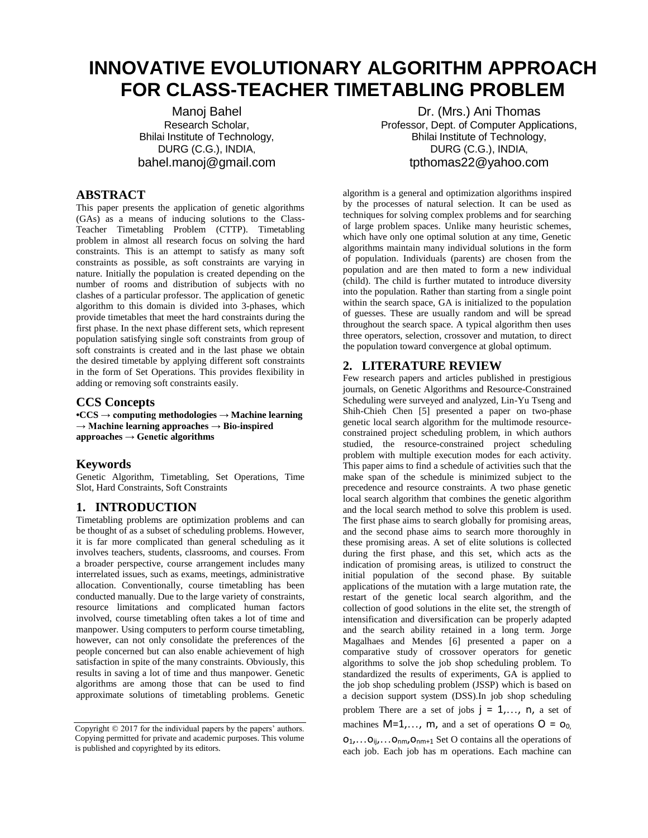# **INNOVATIVE EVOLUTIONARY ALGORITHM APPROACH FOR CLASS-TEACHER TIMETABLING PROBLEM**

Manoj Bahel Research Scholar, Bhilai Institute of Technology, DURG (C.G.), INDIA, bahel.manoj@gmail.com

# **ABSTRACT**

This paper presents the application of genetic algorithms (GAs) as a means of inducing solutions to the Class-Teacher Timetabling Problem (CTTP). Timetabling problem in almost all research focus on solving the hard constraints. This is an attempt to satisfy as many soft constraints as possible, as soft constraints are varying in nature. Initially the population is created depending on the number of rooms and distribution of subjects with no clashes of a particular professor. The application of genetic algorithm to this domain is divided into 3-phases, which provide timetables that meet the hard constraints during the first phase. In the next phase different sets, which represent population satisfying single soft constraints from group of soft constraints is created and in the last phase we obtain the desired timetable by applying different soft constraints in the form of Set Operations. This provides flexibility in adding or removing soft constraints easily.

### **CCS Concepts**

**•CCS → computing methodologies → Machine learning**   $\rightarrow$  Machine **learning approaches**  $\rightarrow$  Bio-inspired **approaches → Genetic algorithms**

## **Keywords**

Genetic Algorithm, Timetabling, Set Operations, Time Slot, Hard Constraints, Soft Constraints

# **1. INTRODUCTION**

Timetabling problems are optimization problems and can be thought of as a subset of scheduling problems. However, it is far more complicated than general scheduling as it involves teachers, students, classrooms, and courses. From a broader perspective, course arrangement includes many interrelated issues, such as exams, meetings, administrative allocation. Conventionally, course timetabling has been conducted manually. Due to the large variety of constraints, resource limitations and complicated human factors involved, course timetabling often takes a lot of time and manpower. Using computers to perform course timetabling, however, can not only consolidate the preferences of the people concerned but can also enable achievement of high satisfaction in spite of the many constraints. Obviously, this results in saving a lot of time and thus manpower. Genetic algorithms are among those that can be used to find approximate solutions of timetabling problems. Genetic

Dr. (Mrs.) Ani Thomas Professor, Dept. of Computer Applications, Bhilai Institute of Technology, DURG (C.G.), INDIA, tpthomas22@yahoo.com

algorithm is a general and optimization algorithms inspired by the processes of natural selection. It can be used as techniques for solving complex problems and for searching of large problem spaces. Unlike many heuristic schemes, which have only one optimal solution at any time, Genetic algorithms maintain many individual solutions in the form of population. Individuals (parents) are chosen from the population and are then mated to form a new individual (child). The child is further mutated to introduce diversity into the population. Rather than starting from a single point within the search space, GA is initialized to the population of guesses. These are usually random and will be spread throughout the search space. A typical algorithm then uses three operators, selection, crossover and mutation, to direct the population toward convergence at global optimum.

## **2. LITERATURE REVIEW**

Few research papers and articles published in prestigious journals, on Genetic Algorithms and Resource-Constrained Scheduling were surveyed and analyzed, Lin-Yu Tseng and Shih-Chieh Chen [5] presented a paper on two-phase genetic local search algorithm for the multimode resourceconstrained project scheduling problem, in which authors studied, the resource-constrained project scheduling problem with multiple execution modes for each activity. This paper aims to find a schedule of activities such that the make span of the schedule is minimized subject to the precedence and resource constraints. A two phase genetic local search algorithm that combines the genetic algorithm and the local search method to solve this problem is used. The first phase aims to search globally for promising areas, and the second phase aims to search more thoroughly in these promising areas. A set of elite solutions is collected during the first phase, and this set, which acts as the indication of promising areas, is utilized to construct the initial population of the second phase. By suitable applications of the mutation with a large mutation rate, the restart of the genetic local search algorithm, and the collection of good solutions in the elite set, the strength of intensification and diversification can be properly adapted and the search ability retained in a long term. Jorge Magalhaes and Mendes [6] presented a paper on a comparative study of crossover operators for genetic algorithms to solve the job shop scheduling problem. To standardized the results of experiments, GA is applied to the job shop scheduling problem (JSSP) which is based on a decision support system (DSS).In job shop scheduling problem There are a set of jobs  $j = 1, \ldots, n$ , a set of machines  $M=1,\ldots, m$ , and a set of operations  $O = O<sub>0</sub>$ .  $O_1$ ,... $O_{ij}$ ,... $O_{nm}$ , $O_{nm+1}$  Set O contains all the operations of each job. Each job has m operations. Each machine can

Copyright © 2017 for the individual papers by the papers' authors. Copying permitted for private and academic purposes. This volume is published and copyrighted by its editors.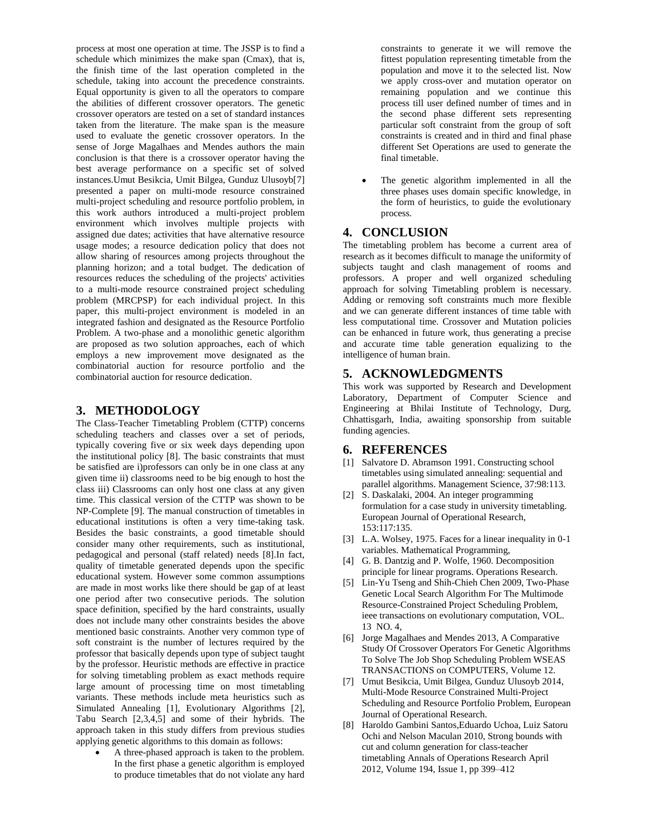process at most one operation at time. The JSSP is to find a schedule which minimizes the make span (Cmax), that is, the finish time of the last operation completed in the schedule, taking into account the precedence constraints. Equal opportunity is given to all the operators to compare the abilities of different crossover operators. The genetic crossover operators are tested on a set of standard instances taken from the literature. The make span is the measure used to evaluate the genetic crossover operators. In the sense of Jorge Magalhaes and Mendes authors the main conclusion is that there is a crossover operator having the best average performance on a specific set of solved instances.Umut Besikcia, Umit Bilgea, Gunduz Ulusoyb[7] presented a paper on multi-mode resource constrained multi-project scheduling and resource portfolio problem, in this work authors introduced a multi-project problem environment which involves multiple projects with assigned due dates; activities that have alternative resource usage modes; a resource dedication policy that does not allow sharing of resources among projects throughout the planning horizon; and a total budget. The dedication of resources reduces the scheduling of the projects' activities to a multi-mode resource constrained project scheduling problem (MRCPSP) for each individual project. In this paper, this multi-project environment is modeled in an integrated fashion and designated as the Resource Portfolio Problem. A two-phase and a monolithic genetic algorithm are proposed as two solution approaches, each of which employs a new improvement move designated as the combinatorial auction for resource portfolio and the combinatorial auction for resource dedication.

## **3. METHODOLOGY**

The Class-Teacher Timetabling Problem (CTTP) concerns scheduling teachers and classes over a set of periods, typically covering five or six week days depending upon the institutional policy [8]. The basic constraints that must be satisfied are i)professors can only be in one class at any given time ii) classrooms need to be big enough to host the class iii) Classrooms can only host one class at any given time. This classical version of the CTTP was shown to be NP-Complete [9]. The manual construction of timetables in educational institutions is often a very time-taking task. Besides the basic constraints, a good timetable should consider many other requirements, such as institutional, pedagogical and personal (staff related) needs [8].In fact, quality of timetable generated depends upon the specific educational system. However some common assumptions are made in most works like there should be gap of at least one period after two consecutive periods. The solution space definition, specified by the hard constraints, usually does not include many other constraints besides the above mentioned basic constraints. Another very common type of soft constraint is the number of lectures required by the professor that basically depends upon type of subject taught by the professor. Heuristic methods are effective in practice for solving timetabling problem as exact methods require large amount of processing time on most timetabling variants. These methods include meta heuristics such as Simulated Annealing [1], Evolutionary Algorithms [2], Tabu Search [2,3,4,5] and some of their hybrids. The approach taken in this study differs from previous studies applying genetic algorithms to this domain as follows:

 A three-phased approach is taken to the problem. In the first phase a genetic algorithm is employed to produce timetables that do not violate any hard constraints to generate it we will remove the fittest population representing timetable from the population and move it to the selected list. Now we apply cross-over and mutation operator on remaining population and we continue this process till user defined number of times and in the second phase different sets representing particular soft constraint from the group of soft constraints is created and in third and final phase different Set Operations are used to generate the final timetable.

 The genetic algorithm implemented in all the three phases uses domain specific knowledge, in the form of heuristics, to guide the evolutionary process.

## **4. CONCLUSION**

The timetabling problem has become a current area of research as it becomes difficult to manage the uniformity of subjects taught and clash management of rooms and professors. A proper and well organized scheduling approach for solving Timetabling problem is necessary. Adding or removing soft constraints much more flexible and we can generate different instances of time table with less computational time. Crossover and Mutation policies can be enhanced in future work, thus generating a precise and accurate time table generation equalizing to the intelligence of human brain.

### **5. ACKNOWLEDGMENTS**

This work was supported by Research and Development Laboratory, Department of Computer Science and Engineering at Bhilai Institute of Technology, Durg, Chhattisgarh, India, awaiting sponsorship from suitable funding agencies.

#### **6. REFERENCES**

- [1] Salvatore D. Abramson 1991. Constructing school timetables using simulated annealing: sequential and parallel algorithms. Management Science, 37:98:113.
- [2] S. Daskalaki, 2004. An integer programming formulation for a case study in university timetabling. European Journal of Operational Research, 153:117:135.
- [3] L.A. Wolsey, 1975. Faces for a linear inequality in 0-1 variables. Mathematical Programming,
- [4] G. B. Dantzig and P. Wolfe, 1960. Decomposition principle for linear programs. Operations Research.
- [5] Lin-Yu Tseng and Shih-Chieh Chen 2009, Two-Phase Genetic Local Search Algorithm For The Multimode Resource-Constrained Project Scheduling Problem, ieee transactions on evolutionary computation, VOL. 13 NO. 4,
- [6] Jorge Magalhaes and Mendes 2013, A Comparative Study Of Crossover Operators For Genetic Algorithms To Solve The Job Shop Scheduling Problem WSEAS TRANSACTIONS on COMPUTERS, Volume 12.
- [7] Umut Besikcia, Umit Bilgea, Gunduz Ulusoyb 2014, Multi-Mode Resource Constrained Multi-Project Scheduling and Resource Portfolio Problem, European Journal of Operational Research.
- [8] Haroldo Gambini Santos,Eduardo Uchoa, Luiz Satoru Ochi and Nelson Maculan 2010, Strong bounds with cut and column generation for class-teacher timetabling Annals of Operations Research April 2012, Volume 194, Issue 1, pp 399–412